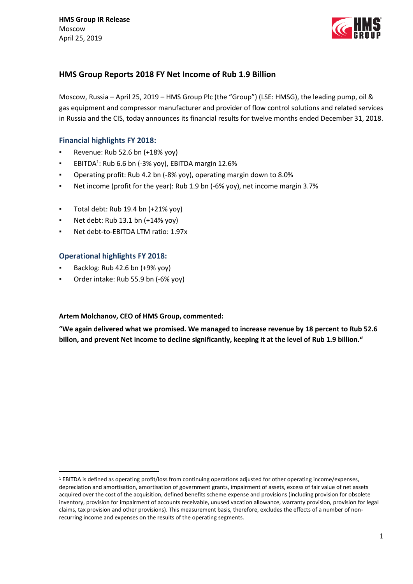

# **HMS Group Reports 2018 FY Net Income of Rub 1.9 Billion**

Moscow, Russia – April 25, 2019 – HMS Group Plc (the "Group") (LSE: HMSG), the leading pump, oil & gas equipment and compressor manufacturer and provider of flow control solutions and related services in Russia and the CIS, today announces its financial results for twelve months ended December 31, 2018.

# **Financial highlights FY 2018:**

- Revenue: Rub 52.6 bn (+18% yoy)
- **EBITDA<sup>1</sup>: Rub 6.6 bn (-3% yoy), EBITDA margin 12.6%**
- Operating profit: Rub 4.2 bn (-8% yoy), operating margin down to 8.0%
- Net income (profit for the year): Rub 1.9 bn (-6% yoy), net income margin 3.7%
- Total debt: Rub 19.4 bn (+21% yoy)
- Net debt: Rub 13.1 bn (+14% yoy)
- Net debt-to-EBITDA LTM ratio: 1.97x

# **Operational highlights FY 2018:**

Backlog: Rub 42.6 bn (+9% yoy)

<u>.</u>

Order intake: Rub 55.9 bn (-6% yoy)

## **Artem Molchanov, CEO of HMS Group, commented:**

**"We again delivered what we promised. We managed to increase revenue by 18 percent to Rub 52.6 billon, and prevent Net income to decline significantly, keeping it at the level of Rub 1.9 billion."**

<sup>1</sup> EBITDA is defined as operating profit/loss from continuing operations adjusted for other operating income/expenses, depreciation and amortisation, amortisation of government grants, impairment of assets, excess of fair value of net assets acquired over the cost of the acquisition, defined benefits scheme expense and provisions (including provision for obsolete inventory, provision for impairment of accounts receivable, unused vacation allowance, warranty provision, provision for legal claims, tax provision and other provisions). This measurement basis, therefore, excludes the effects of a number of nonrecurring income and expenses on the results of the operating segments.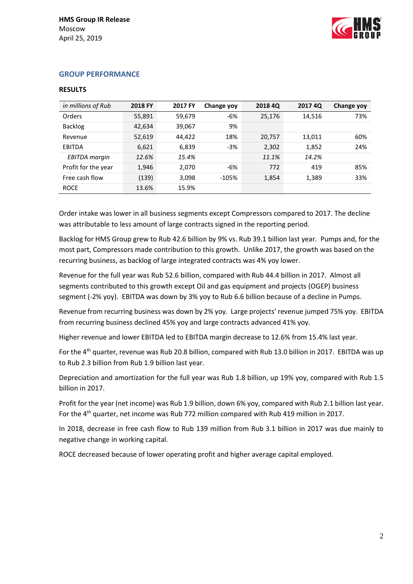

## **GROUP PERFORMANCE**

## **RESULTS**

| in millions of Rub   | 2018 FY | 2017 FY | Change yoy | 2018 4Q | <b>2017 4Q</b> | Change yoy |
|----------------------|---------|---------|------------|---------|----------------|------------|
| <b>Orders</b>        | 55,891  | 59,679  | $-6%$      | 25,176  | 14,516         | 73%        |
| <b>Backlog</b>       | 42,634  | 39,067  | 9%         |         |                |            |
| Revenue              | 52,619  | 44,422  | 18%        | 20,757  | 13,011         | 60%        |
| <b>EBITDA</b>        | 6,621   | 6,839   | $-3%$      | 2,302   | 1,852          | 24%        |
| <b>EBITDA</b> margin | 12.6%   | 15.4%   |            | 11.1%   | 14.2%          |            |
| Profit for the year  | 1,946   | 2,070   | $-6%$      | 772     | 419            | 85%        |
| Free cash flow       | (139)   | 3,098   | $-105%$    | 1,854   | 1,389          | 33%        |
| <b>ROCE</b>          | 13.6%   | 15.9%   |            |         |                |            |

Order intake was lower in all business segments except Compressors compared to 2017. The decline was attributable to less amount of large contracts signed in the reporting period.

Backlog for HMS Group grew to Rub 42.6 billion by 9% vs. Rub 39.1 billion last year. Pumps and, for the most part, Compressors made contribution to this growth. Unlike 2017, the growth was based on the recurring business, as backlog of large integrated contracts was 4% yoy lower.

Revenue for the full year was Rub 52.6 billion, compared with Rub 44.4 billion in 2017. Almost all segments contributed to this growth except Oil and gas equipment and projects (OGEP) business segment (-2% yoy). EBITDA was down by 3% yoy to Rub 6.6 billion because of a decline in Pumps.

Revenue from recurring business was down by 2% yoy. Large projects' revenue jumped 75% yoy. EBITDA from recurring business declined 45% yoy and large contracts advanced 41% yoy.

Higher revenue and lower EBITDA led to EBITDA margin decrease to 12.6% from 15.4% last year.

For the 4<sup>th</sup> quarter, revenue was Rub 20.8 billion, compared with Rub 13.0 billion in 2017. EBITDA was up to Rub 2.3 billion from Rub 1.9 billion last year.

Depreciation and amortization for the full year was Rub 1.8 billion, up 19% yoy, compared with Rub 1.5 billion in 2017.

Profit for the year (net income) was Rub 1.9 billion, down 6% yoy, compared with Rub 2.1 billion last year. For the 4<sup>th</sup> quarter, net income was Rub 772 million compared with Rub 419 million in 2017.

In 2018, decrease in free cash flow to Rub 139 million from Rub 3.1 billion in 2017 was due mainly to negative change in working capital.

ROCE decreased because of lower operating profit and higher average capital employed.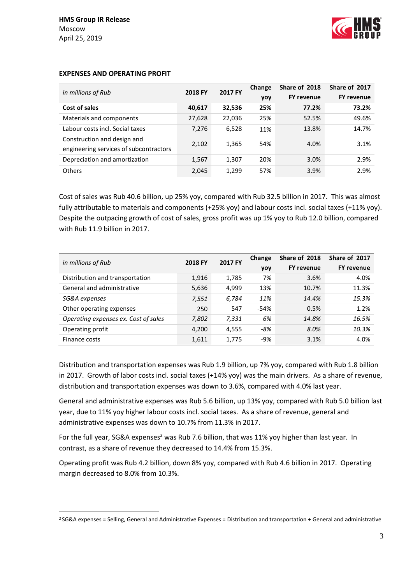1



| in millions of Rub                                                    | 2018 FY | 2017 FY | Change<br>yoy | Share of 2018<br><b>FY revenue</b> | Share of 2017<br><b>FY revenue</b> |
|-----------------------------------------------------------------------|---------|---------|---------------|------------------------------------|------------------------------------|
| Cost of sales                                                         | 40,617  | 32,536  | 25%           | 77.2%                              | 73.2%                              |
| Materials and components                                              | 27,628  | 22,036  | 25%           | 52.5%                              | 49.6%                              |
| Labour costs incl. Social taxes                                       | 7,276   | 6,528   | 11%           | 13.8%                              | 14.7%                              |
| Construction and design and<br>engineering services of subcontractors | 2,102   | 1,365   | 54%           | 4.0%                               | 3.1%                               |
| Depreciation and amortization                                         | 1,567   | 1,307   | 20%           | 3.0%                               | 2.9%                               |
| <b>Others</b>                                                         | 2,045   | 1,299   | 57%           | 3.9%                               | 2.9%                               |

## **EXPENSES AND OPERATING PROFIT**

Cost of sales was Rub 40.6 billion, up 25% yoy, compared with Rub 32.5 billion in 2017. This was almost fully attributable to materials and components (+25% yoy) and labour costs incl. social taxes (+11% yoy). Despite the outpacing growth of cost of sales, gross profit was up 1% yoy to Rub 12.0 billion, compared with Rub 11.9 billion in 2017.

| in millions of Rub                   | 2018 FY | 2017 FY | Change | Share of 2018     | Share of 2017     |
|--------------------------------------|---------|---------|--------|-------------------|-------------------|
|                                      |         |         | yoy    | <b>FY revenue</b> | <b>FY revenue</b> |
| Distribution and transportation      | 1,916   | 1,785   | 7%     | 3.6%              | 4.0%              |
| General and administrative           | 5,636   | 4.999   | 13%    | 10.7%             | 11.3%             |
| SG&A expenses                        | 7,551   | 6,784   | 11%    | 14.4%             | 15.3%             |
| Other operating expenses             | 250     | 547     | $-54%$ | 0.5%              | 1.2%              |
| Operating expenses ex. Cost of sales | 7,802   | 7,331   | 6%     | 14.8%             | 16.5%             |
| Operating profit                     | 4,200   | 4,555   | -8%    | 8.0%              | 10.3%             |
| Finance costs                        | 1,611   | 1,775   | $-9%$  | 3.1%              | 4.0%              |

Distribution and transportation expenses was Rub 1.9 billion, up 7% yoy, compared with Rub 1.8 billion in 2017. Growth of labor costs incl. social taxes (+14% yoy) was the main drivers. As a share of revenue, distribution and transportation expenses was down to 3.6%, compared with 4.0% last year.

General and administrative expenses was Rub 5.6 billion, up 13% yoy, compared with Rub 5.0 billion last year, due to 11% yoy higher labour costs incl. social taxes. As a share of revenue, general and administrative expenses was down to 10.7% from 11.3% in 2017.

For the full year, SG&A expenses<sup>2</sup> was Rub 7.6 billion, that was 11% yoy higher than last year. In contrast, as a share of revenue they decreased to 14.4% from 15.3%.

Operating profit was Rub 4.2 billion, down 8% yoy, compared with Rub 4.6 billion in 2017. Operating margin decreased to 8.0% from 10.3%.

<sup>2</sup> SG&A expenses = Selling, General and Administrative Expenses = Distribution and transportation + General and administrative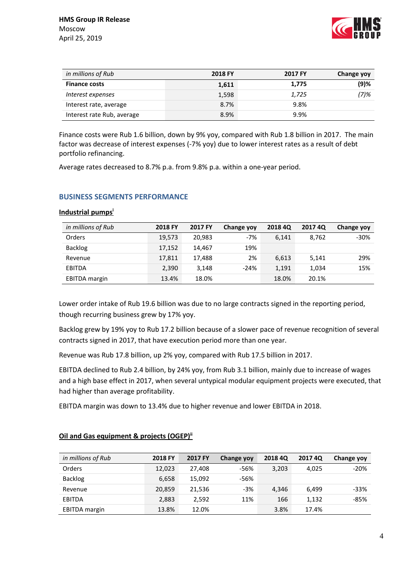

| in millions of Rub         | 2018 FY | 2017 FY | Change yoy |
|----------------------------|---------|---------|------------|
| <b>Finance costs</b>       | 1,611   | 1,775   | $(9)$ %    |
| Interest expenses          | 1,598   | 1,725   | $(7)$ %    |
| Interest rate, average     | 8.7%    | 9.8%    |            |
| Interest rate Rub, average | 8.9%    | 9.9%    |            |

Finance costs were Rub 1.6 billion, down by 9% yoy, compared with Rub 1.8 billion in 2017. The main factor was decrease of interest expenses (-7% yoy) due to lower interest rates as a result of debt portfolio refinancing.

Average rates decreased to 8.7% p.a. from 9.8% p.a. within a one-year period.

# **BUSINESS SEGMENTS PERFORMANCE**

| in millions of Rub   | 2018 FY | 2017 FY | <b>Change yoy</b> | <b>2018 40</b> | <b>2017 4Q</b> | <b>Change yoy</b> |
|----------------------|---------|---------|-------------------|----------------|----------------|-------------------|
| Orders               | 19.573  | 20.983  | $-7%$             | 6,141          | 8.762          | $-30%$            |
| <b>Backlog</b>       | 17,152  | 14.467  | 19%               |                |                |                   |
| Revenue              | 17,811  | 17.488  | 2%                | 6,613          | 5.141          | 29%               |
| <b>EBITDA</b>        | 2,390   | 3.148   | $-24%$            | 1,191          | 1,034          | 15%               |
| <b>EBITDA</b> margin | 13.4%   | 18.0%   |                   | 18.0%          | 20.1%          |                   |

## **Industrial pumps<sup>i</sup>**

Lower order intake of Rub 19.6 billion was due to no large contracts signed in the reporting period, though recurring business grew by 17% yoy.

Backlog grew by 19% yoy to Rub 17.2 billion because of a slower pace of revenue recognition of several contracts signed in 2017, that have execution period more than one year.

Revenue was Rub 17.8 billion, up 2% yoy, compared with Rub 17.5 billion in 2017.

EBITDA declined to Rub 2.4 billion, by 24% yoy, from Rub 3.1 billion, mainly due to increase of wages and a high base effect in 2017, when several untypical modular equipment projects were executed, that had higher than average profitability.

EBITDA margin was down to 13.4% due to higher revenue and lower EBITDA in 2018.

| in millions of Rub   | 2018 FY | 2017 FY | <b>Change yoy</b> | <b>2018 4Q</b> | <b>2017 4Q</b> | Change yoy |
|----------------------|---------|---------|-------------------|----------------|----------------|------------|
| Orders               | 12,023  | 27,408  | -56%              | 3,203          | 4,025          | $-20%$     |
| Backlog              | 6,658   | 15,092  | $-56%$            |                |                |            |
| Revenue              | 20,859  | 21,536  | $-3%$             | 4.346          | 6.499          | $-33%$     |
| <b>EBITDA</b>        | 2,883   | 2,592   | 11%               | 166            | 1,132          | $-85%$     |
| <b>EBITDA</b> margin | 13.8%   | 12.0%   |                   | 3.8%           | 17.4%          |            |

## **Oil and Gas equipment & projects (OGEP)ii**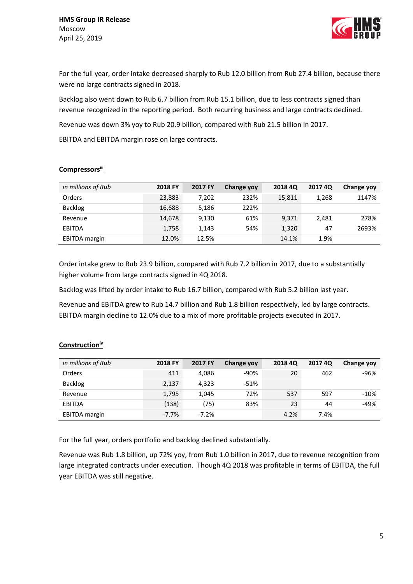

For the full year, order intake decreased sharply to Rub 12.0 billion from Rub 27.4 billion, because there were no large contracts signed in 2018.

Backlog also went down to Rub 6.7 billion from Rub 15.1 billion, due to less contracts signed than revenue recognized in the reporting period. Both recurring business and large contracts declined.

Revenue was down 3% yoy to Rub 20.9 billion, compared with Rub 21.5 billion in 2017.

EBITDA and EBITDA margin rose on large contracts.

| in millions of Rub   | 2018 FY | 2017 FY | Change yoy | <b>2018 40</b> | <b>2017 40</b> | <b>Change yoy</b> |
|----------------------|---------|---------|------------|----------------|----------------|-------------------|
| Orders               | 23,883  | 7,202   | 232%       | 15,811         | 1,268          | 1147%             |
| <b>Backlog</b>       | 16,688  | 5,186   | 222%       |                |                |                   |
| Revenue              | 14,678  | 9,130   | 61%        | 9,371          | 2,481          | 278%              |
| <b>EBITDA</b>        | 1,758   | 1.143   | 54%        | 1,320          | 47             | 2693%             |
| <b>EBITDA</b> margin | 12.0%   | 12.5%   |            | 14.1%          | 1.9%           |                   |

# **Compressorsiii**

Order intake grew to Rub 23.9 billion, compared with Rub 7.2 billion in 2017, due to a substantially higher volume from large contracts signed in 4Q 2018.

Backlog was lifted by order intake to Rub 16.7 billion, compared with Rub 5.2 billion last year.

Revenue and EBITDA grew to Rub 14.7 billion and Rub 1.8 billion respectively, led by large contracts. EBITDA margin decline to 12.0% due to a mix of more profitable projects executed in 2017.

| in millions of Rub   | 2018 FY | 2017 FY | <b>Change yoy</b> | <b>2018 4Q</b> | 2017 4Q | <b>Change yoy</b> |
|----------------------|---------|---------|-------------------|----------------|---------|-------------------|
| Orders               | 411     | 4,086   | $-90%$            | 20             | 462     | $-96%$            |
| <b>Backlog</b>       | 2,137   | 4.323   | $-51%$            |                |         |                   |
| Revenue              | 1,795   | 1,045   | 72%               | 537            | 597     | $-10%$            |
| <b>EBITDA</b>        | (138)   | (75)    | 83%               | 23             | 44      | -49%              |
| <b>EBITDA</b> margin | $-7.7%$ | $-7.2%$ |                   | 4.2%           | 7.4%    |                   |

## **Constructioniv**

For the full year, orders portfolio and backlog declined substantially.

Revenue was Rub 1.8 billion, up 72% yoy, from Rub 1.0 billion in 2017, due to revenue recognition from large integrated contracts under execution. Though 4Q 2018 was profitable in terms of EBITDA, the full year EBITDA was still negative.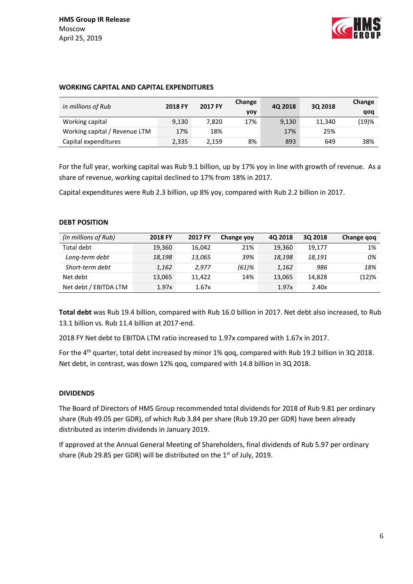

| in millions of Rub            | 2018 FY | 2017 FY | Change<br>yoy | 40 2018 | 3Q 2018 | Change<br>qoq |
|-------------------------------|---------|---------|---------------|---------|---------|---------------|
| Working capital               | 9,130   | 7.820   | 17%           | 9,130   | 11.340  | (19)%         |
| Working capital / Revenue LTM | 17%     | 18%     |               | 17%     | 25%     |               |
| Capital expenditures          | 2,335   | 2,159   | 8%            | 893     | 649     | 38%           |

## **WORKING CAPITAL AND CAPITAL EXPENDITURES**

For the full year, working capital was Rub 9.1 billion, up by 17% yoy in line with growth of revenue. As a share of revenue, working capital declined to 17% from 18% in 2017.

Capital expenditures were Rub 2.3 billion, up 8% yoy, compared with Rub 2.2 billion in 2017.

## **DEBT POSITION**

| (in millions of Rub)  | 2018 FY | 2017 FY | Change yoy | 4Q 2018 | 30 2018 | Change gog |
|-----------------------|---------|---------|------------|---------|---------|------------|
| Total debt            | 19,360  | 16.042  | 21%        | 19,360  | 19,177  | 1%         |
| Long-term debt        | 18,198  | 13,065  | 39%        | 18,198  | 18,191  | 0%         |
| Short-term debt       | 1,162   | 2.977   | (61)%      | 1,162   | 986     | 18%        |
| Net debt              | 13,065  | 11.422  | 14%        | 13,065  | 14.828  | $(12)\%$   |
| Net debt / EBITDA LTM | 1.97x   | 1.67x   |            | 1.97x   | 2.40x   |            |

**Total debt** was Rub 19.4 billion, compared with Rub 16.0 billion in 2017. Net debt also increased, to Rub 13.1 billion vs. Rub 11.4 billion at 2017-end.

2018 FY Net debt to EBITDA LTM ratio increased to 1.97x compared with 1.67x in 2017.

For the 4<sup>th</sup> quarter, total debt increased by minor 1% gog, compared with Rub 19.2 billion in 3Q 2018. Net debt, in contrast, was down 12% qoq, compared with 14.8 billion in 3Q 2018.

## **DIVIDENDS**

The Board of Directors of HMS Group recommended total dividends for 2018 of Rub 9.81 per ordinary share (Rub 49.05 per GDR), of which Rub 3.84 per share (Rub 19.20 per GDR) have been already distributed as interim dividends in January 2019.

If approved at the Annual General Meeting of Shareholders, final dividends of Rub 5.97 per ordinary share (Rub 29.85 per GDR) will be distributed on the  $1<sup>st</sup>$  of July, 2019.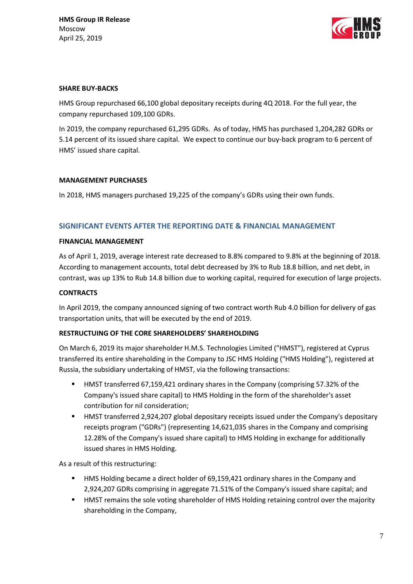

## **SHARE BUY-BACKS**

HMS Group repurchased 66,100 global depositary receipts during 4Q 2018. For the full year, the company repurchased 109,100 GDRs.

In 2019, the company repurchased 61,295 GDRs. As of today, HMS has purchased 1,204,282 GDRs or 5.14 percent of its issued share capital. We expect to continue our buy-back program to 6 percent of HMS' issued share capital.

## **MANAGEMENT PURCHASES**

In 2018, HMS managers purchased 19,225 of the company's GDRs using their own funds.

# **SIGNIFICANT EVENTS AFTER THE REPORTING DATE & FINANCIAL MANAGEMENT**

## **FINANCIAL MANAGEMENT**

As of April 1, 2019, average interest rate decreased to 8.8% compared to 9.8% at the beginning of 2018. According to management accounts, total debt decreased by 3% to Rub 18.8 billion, and net debt, in contrast, was up 13% to Rub 14.8 billion due to working capital, required for execution of large projects.

## **CONTRACTS**

In April 2019, the company announced signing of two contract worth Rub 4.0 billion for delivery of gas transportation units, that will be executed by the end of 2019.

## **RESTRUCTUING OF THE CORE SHAREHOLDERS' SHAREHOLDING**

On March 6, 2019 its major shareholder H.M.S. Technologies Limited ("HMST"), registered at Cyprus transferred its entire shareholding in the Company to JSC HMS Holding ("HMS Holding"), registered at Russia, the subsidiary undertaking of HMST, via the following transactions:

- HMST transferred 67,159,421 ordinary shares in the Company (comprising 57.32% of the Company's issued share capital) to HMS Holding in the form of the shareholder's asset contribution for nil consideration;
- HMST transferred 2,924,207 global depositary receipts issued under the Company's depositary receipts program ("GDRs") (representing 14,621,035 shares in the Company and comprising 12.28% of the Company's issued share capital) to HMS Holding in exchange for additionally issued shares in HMS Holding.

As a result of this restructuring:

- HMS Holding became a direct holder of 69,159,421 ordinary shares in the Company and 2,924,207 GDRs comprising in aggregate 71.51% of the Company's issued share capital; and
- HMST remains the sole voting shareholder of HMS Holding retaining control over the majority shareholding in the Company,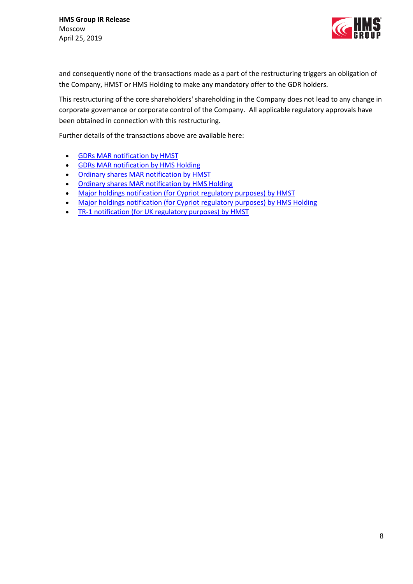

and consequently none of the transactions made as a part of the restructuring triggers an obligation of the Company, HMST or HMS Holding to make any mandatory offer to the GDR holders.

This restructuring of the core shareholders' shareholding in the Company does not lead to any change in corporate governance or corporate control of the Company. All applicable regulatory approvals have been obtained in connection with this restructuring.

Further details of the transactions above are available here:

- **[GDRs MAR notification by HMST](http://grouphms.com/files/HMST_(GDRs_transfer).pdf)**
- **[GDRs MAR notification by HMS Holding](http://grouphms.com/files/HMS_Holding_(GDRs_transfer).pdf)**
- [Ordinary shares MAR notification by HMST](http://grouphms.com/files/HMST_(57.32_transfer).pdf)
- [Ordinary shares MAR notification by HMS Holding](http://grouphms.com/files/HMS_Holding_(57.32_transfer).pdf)
- [Major holdings notification \(for Cypriot regulatory purposes\) by HMST](http://grouphms.com/files/Major_holding_notification_(Cy)-HMST.pdf)
- [Major holdings notification \(for Cypriot regulatory purposes\) by HMS Holding](http://grouphms.com/files/Major_holding_notification_(Cy)-HMS_Holding.pdf)
- [TR-1 notification \(for UK regulatory purposes\) by HMST](http://grouphms.com/files/TR-1_notification_(UK)-HMS_Holding.pdf)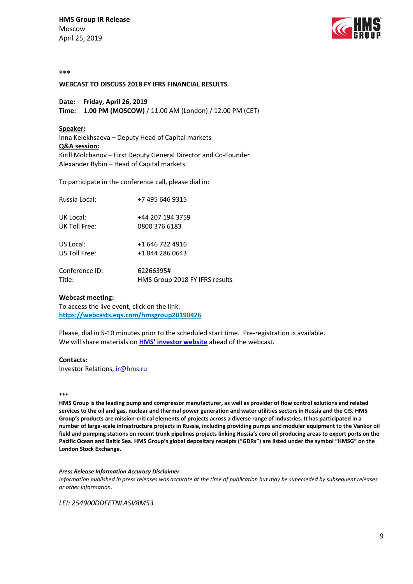**HMS Group IR Release** Moscow April 25, 2019



#### **\*\*\***

### **WEBCAST TO DISCUSS 2018 FY IFRS FINANCIAL RESULTS**

**Date: Friday, April 26, 2019**

**Time:** 1**.00 PM (MOSCOW)** / 11.00 AM (London) / 12.00 PM (CET)

### **Speaker:**

Inna Kelekhsaeva – Deputy Head of Capital markets **Q&A session:** Kirill Molchanov – First Deputy General Director and Co-Founder Alexander Rybin – Head of Capital markets

To participate in the conference call, please dial in:

| Russia Local:  | +7 495 646 9315                |
|----------------|--------------------------------|
| UK Local:      | +44 207 194 3759               |
| UK Toll Free:  | 0800 376 6183                  |
| US Local:      | +1 646 722 4916                |
| US Toll Free:  | +1 844 286 0643                |
| Conference ID: | 62266395#                      |
| Title:         | HMS Group 2018 FY IFRS results |

### **Webcast meeting:**

To access the live event, click on the link: **<https://webcasts.eqs.com/hmsgroup20190426>**

Please, dial in 5-10 minutes prior to the scheduled start time. Pre-registration is available. We will share materials on **[HMS' investor website](http://grouphms.com/shareholders_and_investors/)** ahead of the webcast.

### **Contacts:**

Investor Relations, [ir@hms.ru](mailto:ir@hms.ru?subject=Re%20conf%20call)

#### \*\*\*

**HMS Group is the leading pump and compressor manufacturer, as well as provider of flow control solutions and related services to the oil and gas, nuclear and thermal power generation and water utilities sectors in Russia and the CIS. HMS Group's products are mission-critical elements of projects across a diverse range of industries. It has participated in a number of large-scale infrastructure projects in Russia, including providing pumps and modular equipment to the Vankor oil field and pumping stations on recent trunk pipelines projects linking Russia's core oil producing areas to export ports on the Pacific Ocean and Baltic Sea. HMS Group's global depositary receipts ("GDRs") are listed under the symbol "HMSG" on the London Stock Exchange.** 

#### *Press Release Information Accuracy Disclaimer*

*Information published in press releases was accurate at the time of publication but may be superseded by subsequent releases or other information.* 

*LEI: 254900DDFETNLASV8M53*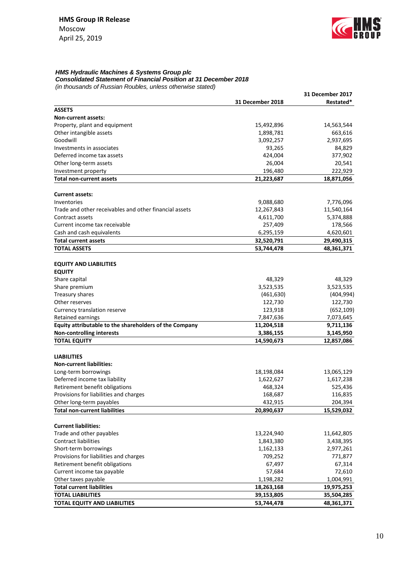

### *HMS Hydraulic Machines & Systems Group plc Consolidated Statement of Financial Position at 31 December 2018*

*(in thousands of Russian Roubles, unless otherwise stated)*

|                                                        |                         | <b>31 December 2017</b> |
|--------------------------------------------------------|-------------------------|-------------------------|
|                                                        | <b>31 December 2018</b> | Restated*               |
| <b>ASSETS</b>                                          |                         |                         |
| Non-current assets:                                    |                         |                         |
| Property, plant and equipment                          | 15,492,896              | 14,563,544              |
| Other intangible assets                                | 1,898,781               | 663,616                 |
| Goodwill                                               | 3,092,257               | 2,937,695               |
| Investments in associates                              | 93,265                  | 84,829                  |
| Deferred income tax assets                             | 424,004                 | 377,902                 |
| Other long-term assets                                 | 26,004                  | 20,541                  |
| Investment property                                    | 196,480                 | 222,929                 |
| Total non-current assets                               | 21,223,687              | 18,871,056              |
|                                                        |                         |                         |
| <b>Current assets:</b>                                 |                         |                         |
| Inventories                                            | 9,088,680               | 7,776,096               |
| Trade and other receivables and other financial assets | 12,267,843              | 11,540,164              |
| Contract assets                                        | 4,611,700               | 5,374,888               |
| Current income tax receivable                          | 257,409                 | 178,566                 |
| Cash and cash equivalents                              | 6,295,159               | 4,620,601               |
| <b>Total current assets</b>                            | 32,520,791              | 29,490,315              |
| <b>TOTAL ASSETS</b>                                    | 53,744,478              | 48,361,371              |
|                                                        |                         |                         |
| <b>EQUITY AND LIABILITIES</b>                          |                         |                         |
| <b>EQUITY</b>                                          |                         |                         |
| Share capital                                          | 48,329                  | 48,329                  |
| Share premium                                          | 3,523,535               | 3,523,535               |
| Treasury shares                                        | (461, 630)              | (404, 994)              |
| Other reserves                                         | 122,730                 | 122,730                 |
| Currency translation reserve                           | 123,918                 | (652, 109)              |
| Retained earnings                                      | 7,847,636               | 7,073,645               |
| Equity attributable to the shareholders of the Company | 11,204,518              | 9,711,136               |
| <b>Non-controlling interests</b>                       | 3,386,155               | 3,145,950               |
| <b>TOTAL EQUITY</b>                                    | 14,590,673              | 12,857,086              |
|                                                        |                         |                         |
| <b>LIABILITIES</b>                                     |                         |                         |
| <b>Non-current liabilities:</b>                        |                         |                         |
| Long-term borrowings                                   | 18,198,084              | 13,065,129              |
| Deferred income tax liability                          | 1,622,627               | 1,617,238               |
| Retirement benefit obligations                         | 468,324                 | 525,436                 |
| Provisions for liabilities and charges                 | 168,687                 | 116,835                 |
| Other long-term payables                               | 432,915                 | 204,394                 |
| <b>Total non-current liabilities</b>                   | 20,890,637              | 15,529,032              |
|                                                        |                         |                         |
| <b>Current liabilities:</b>                            |                         |                         |
| Trade and other payables                               | 13,224,940              | 11,642,805              |
| <b>Contract liabilities</b>                            | 1,843,380               | 3,438,395               |
| Short-term borrowings                                  | 1,162,133               | 2,977,261               |
| Provisions for liabilities and charges                 | 709,252                 | 771,877                 |
| Retirement benefit obligations                         | 67,497                  | 67,314                  |
| Current income tax payable                             | 57,684                  | 72,610                  |
| Other taxes payable                                    | 1,198,282               | 1,004,991               |
| <b>Total current liabilities</b>                       | 18,263,168              | 19,975,253              |
| <b>TOTAL LIABILITIES</b>                               | 39,153,805              | 35,504,285              |
| TOTAL EQUITY AND LIABILITIES                           | 53,744,478              | 48,361,371              |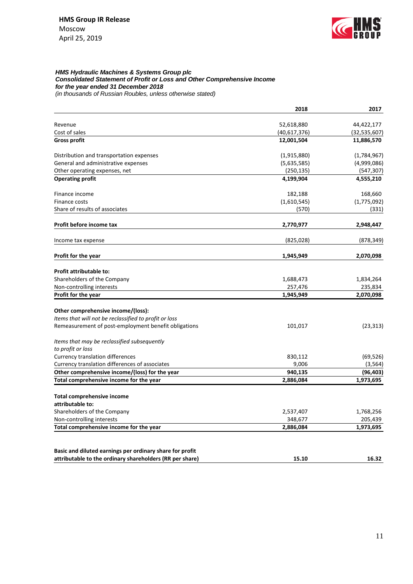

## *HMS Hydraulic Machines & Systems Group plc Consolidated Statement of Profit or Loss and Other Comprehensive Income for the year ended 31 December 2018*

*(in thousands of Russian Roubles, unless otherwise stated)*

|                                                                                                                      | 2018         | 2017           |
|----------------------------------------------------------------------------------------------------------------------|--------------|----------------|
| Revenue                                                                                                              | 52,618,880   | 44,422,177     |
| Cost of sales                                                                                                        | (40,617,376) | (32, 535, 607) |
| <b>Gross profit</b>                                                                                                  | 12,001,504   | 11,886,570     |
| Distribution and transportation expenses                                                                             | (1,915,880)  | (1,784,967)    |
| General and administrative expenses                                                                                  | (5,635,585)  | (4,999,086)    |
| Other operating expenses, net                                                                                        | (250, 135)   | (547, 307)     |
| <b>Operating profit</b>                                                                                              | 4,199,904    | 4,555,210      |
| Finance income                                                                                                       | 182,188      | 168,660        |
| Finance costs                                                                                                        | (1,610,545)  | (1,775,092)    |
| Share of results of associates                                                                                       | (570)        | (331)          |
| Profit before income tax                                                                                             | 2,770,977    | 2,948,447      |
| Income tax expense                                                                                                   | (825,028)    | (878, 349)     |
| Profit for the year                                                                                                  | 1,945,949    | 2,070,098      |
| Profit attributable to:                                                                                              |              |                |
| Shareholders of the Company                                                                                          | 1,688,473    | 1,834,264      |
| Non-controlling interests                                                                                            | 257,476      | 235,834        |
| Profit for the year                                                                                                  | 1,945,949    | 2,070,098      |
| Other comprehensive income/(loss):                                                                                   |              |                |
| Items that will not be reclassified to profit or loss                                                                |              |                |
| Remeasurement of post-employment benefit obligations                                                                 | 101,017      | (23, 313)      |
| Items that may be reclassified subsequently                                                                          |              |                |
| to profit or loss                                                                                                    |              |                |
| <b>Currency translation differences</b>                                                                              | 830,112      | (69, 526)      |
| Currency translation differences of associates                                                                       | 9,006        | (3, 564)       |
| Other comprehensive income/(loss) for the year                                                                       | 940,135      | (96, 403)      |
| Total comprehensive income for the year                                                                              | 2,886,084    | 1,973,695      |
| Total comprehensive income                                                                                           |              |                |
| attributable to:                                                                                                     |              |                |
| Shareholders of the Company                                                                                          | 2,537,407    | 1,768,256      |
| Non-controlling interests                                                                                            | 348,677      | 205,439        |
| Total comprehensive income for the year                                                                              | 2,886,084    | 1,973,695      |
|                                                                                                                      |              |                |
| Basic and diluted earnings per ordinary share for profit<br>attributable to the ordinary shareholders (RR per share) | 15.10        | 16.32          |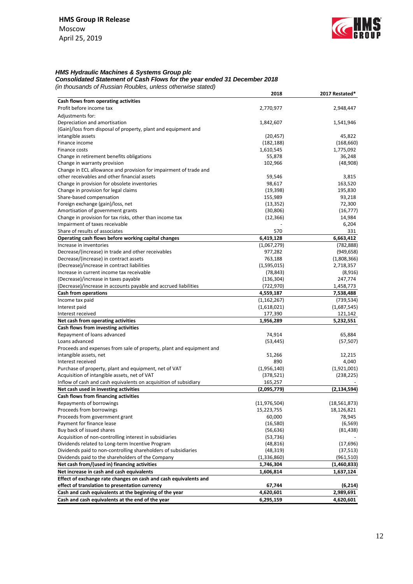

### *HMS Hydraulic Machines & Systems Group plc*

*Consolidated Statement of Cash Flows for the year ended 31 December 2018 (in thousands of Russian Roubles, unless otherwise stated)*

|                                                                      | 2018           | 2017 Restated* |
|----------------------------------------------------------------------|----------------|----------------|
| Cash flows from operating activities                                 |                |                |
| Profit before income tax                                             | 2,770,977      | 2,948,447      |
| Adjustments for:                                                     |                |                |
| Depreciation and amortisation                                        | 1,842,607      | 1,541,946      |
| (Gain)/loss from disposal of property, plant and equipment and       |                |                |
| intangible assets                                                    | (20, 457)      | 45,822         |
| Finance income                                                       | (182, 188)     | (168, 660)     |
| Finance costs                                                        | 1,610,545      | 1,775,092      |
| Change in retirement benefits obligations                            | 55,878         | 36,248         |
| Change in warranty provision                                         | 102,966        | (48,908)       |
| Change in ECL allowance and provision for impairment of trade and    |                |                |
| other receivables and other financial assets                         | 59,546         | 3,815          |
| Change in provision for obsolete inventories                         | 98,617         | 163,520        |
| Change in provision for legal claims                                 | (19, 398)      | 195,830        |
| Share-based compensation                                             | 155,989        | 93,218         |
| Foreign exchange (gain)/loss, net                                    | (13, 352)      | 72,300         |
| Amortisation of government grants                                    | (30, 806)      | (16, 777)      |
| Change in provision for tax risks, other than income tax             | (12, 366)      | 14,984         |
| Impairment of taxes receivable                                       |                | 6,204          |
| Share of results of associates                                       | 570            | 331            |
| Operating cash flows before working capital changes                  | 6,419,128      | 6,663,412      |
| Increase in inventories                                              | (1,067,279)    | (782, 888)     |
| Decrease/(increase) in trade and other receivables                   | 977,282        | (949, 658)     |
| Decrease/(increase) in contract assets                               | 763,188        | (1,808,366)    |
| (Decrease)/increase in contract liabilities                          | (1,595,015)    | 2,718,357      |
| Increase in current income tax receivable                            | (78, 843)      | (8,916)        |
| (Decrease)/increase in taxes payable                                 | (136, 304)     | 247,774        |
| (Decrease)/increase in accounts payable and accrued liabilities      | (722, 970)     | 1,458,773      |
| <b>Cash from operations</b>                                          | 4,559,187      | 7,538,488      |
| Income tax paid                                                      | (1, 162, 267)  | (739, 534)     |
| Interest paid                                                        | (1,618,021)    | (1,687,545)    |
| Interest received                                                    | 177,390        | 121,142        |
| Net cash from operating activities                                   | 1,956,289      | 5,232,551      |
| Cash flows from investing activities                                 |                |                |
| Repayment of loans advanced                                          | 74,914         | 65,884         |
| Loans advanced                                                       | (53, 445)      | (57, 507)      |
| Proceeds and expenses from sale of property, plant and equipment and |                |                |
| intangible assets, net                                               | 51,266         | 12,215         |
| Interest received                                                    | 890            | 4,040          |
| Purchase of property, plant and equipment, net of VAT                | (1,956,140)    | (1,921,001)    |
| Acquisition of intangible assets, net of VAT                         | (378, 521)     | (238, 225)     |
| Inflow of cash and cash equivalents on acquisition of subsidiary     | 165,257        |                |
| Net cash used in investing activities                                | (2,095,779)    | (2, 134, 594)  |
| Cash flows from financing activities                                 |                |                |
| Repayments of borrowings                                             | (11, 976, 504) | (18, 561, 873) |
| Proceeds from borrowings                                             | 15,223,755     | 18,126,821     |
| Proceeds from government grant                                       | 60,000         | 78,945         |
| Payment for finance lease                                            | (16, 580)      | (6, 569)       |
| Buy back of issued shares                                            | (56, 636)      | (81, 438)      |
| Acquisition of non-controlling interest in subsidiaries              | (53, 736)      |                |
| Dividends related to Long-term Incentive Program                     | (48, 816)      | (17, 696)      |
| Dividends paid to non-controlling shareholders of subsidiaries       | (48, 319)      | (37, 513)      |
| Dividends paid to the shareholders of the Company                    | (1,336,860)    | (961, 510)     |
| Net cash from/(used in) financing activities                         | 1,746,304      | (1,460,833)    |
| Net increase in cash and cash equivalents                            | 1,606,814      | 1,637,124      |
| Effect of exchange rate changes on cash and cash equivalents and     |                |                |
| effect of translation to presentation currency                       | 67,744         | (6,214)        |
| Cash and cash equivalents at the beginning of the year               | 4,620,601      | 2,989,691      |
| Cash and cash equivalents at the end of the year                     | 6,295,159      | 4,620,601      |